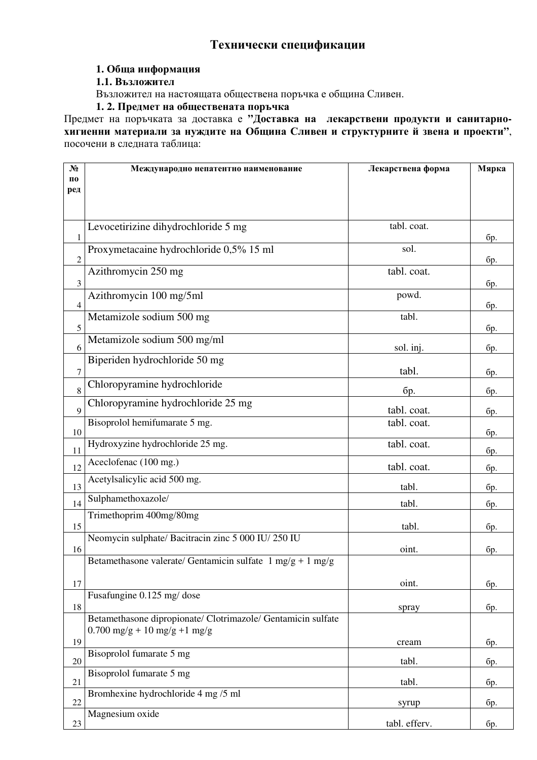## **Технически спецификации**

## **1. Обща информация**

**1.1. Възложител**

Възложител на настоящата обществена поръчка е община Сливен.

**1. 2. Предмет на обществената поръчка**

Предмет на поръчката за доставка е **"Доставка на лекарствени продукти и санитарнохигиенни материали за нуждите на Община Сливен и структурните й звена и проекти"**, посочени в следната таблица:

| N°             | Международно непатентно наименование                                         | Лекарствена форма | Мярка |
|----------------|------------------------------------------------------------------------------|-------------------|-------|
| П0<br>ред      |                                                                              |                   |       |
|                |                                                                              |                   |       |
|                |                                                                              |                   |       |
|                | Levocetirizine dihydrochloride 5 mg                                          | tabl. coat.       |       |
| $\mathbf{1}$   |                                                                              |                   | бр.   |
| $\sqrt{2}$     | Proxymetacaine hydrochloride 0,5% 15 ml                                      | sol.              | бр.   |
|                | Azithromycin 250 mg                                                          | tabl. coat.       |       |
| 3              |                                                                              |                   | бр.   |
| $\overline{4}$ | Azithromycin 100 mg/5ml                                                      | powd.             | бр.   |
|                | Metamizole sodium 500 mg                                                     | tabl.             |       |
| 5              |                                                                              |                   | бр.   |
| 6              | Metamizole sodium 500 mg/ml                                                  | sol. inj.         | бр.   |
|                | Biperiden hydrochloride 50 mg                                                |                   |       |
| $\tau$         |                                                                              | tabl.             | бр.   |
| 8              | Chloropyramine hydrochloride                                                 | бр.               | бр.   |
| 9              | Chloropyramine hydrochloride 25 mg                                           | tabl. coat.       | бр.   |
|                | Bisoprolol hemifumarate 5 mg.                                                | tabl. coat.       |       |
| 10             |                                                                              |                   | бр.   |
| 11             | Hydroxyzine hydrochloride 25 mg.                                             | tabl. coat.       | бр.   |
| 12             | Aceclofenac (100 mg.)                                                        | tabl. coat.       | бр.   |
| 13             | Acetylsalicylic acid 500 mg.                                                 | tabl.             | бр.   |
| 14             | Sulphamethoxazole/                                                           | tabl.             | бр.   |
|                | Trimethoprim 400mg/80mg                                                      |                   |       |
| 15             | Neomycin sulphate/ Bacitracin zinc 5 000 IU/250 IU                           | tabl.             | бр.   |
| 16             |                                                                              | oint.             | бр.   |
|                | Betamethasone valerate/ Gentamicin sulfate $1 \text{ mg/g} + 1 \text{ mg/g}$ |                   |       |
| 17             |                                                                              | oint.             | бр.   |
|                | Fusafungine 0.125 mg/ dose                                                   |                   |       |
| 18             |                                                                              | spray             | бр.   |
|                | Betamethasone dipropionate/ Clotrimazole/ Gentamicin sulfate                 |                   |       |
| 19             | $0.700$ mg/g + 10 mg/g +1 mg/g                                               | cream             | бр.   |
| 20             | Bisoprolol fumarate 5 mg                                                     | tabl.             | бр.   |
|                | Bisoprolol fumarate 5 mg                                                     |                   |       |
| 21             |                                                                              | tabl.             | бр.   |
| 22             | Bromhexine hydrochloride 4 mg /5 ml                                          | syrup             | бр.   |
| 23             | Magnesium oxide                                                              | tabl. efferv.     | бр.   |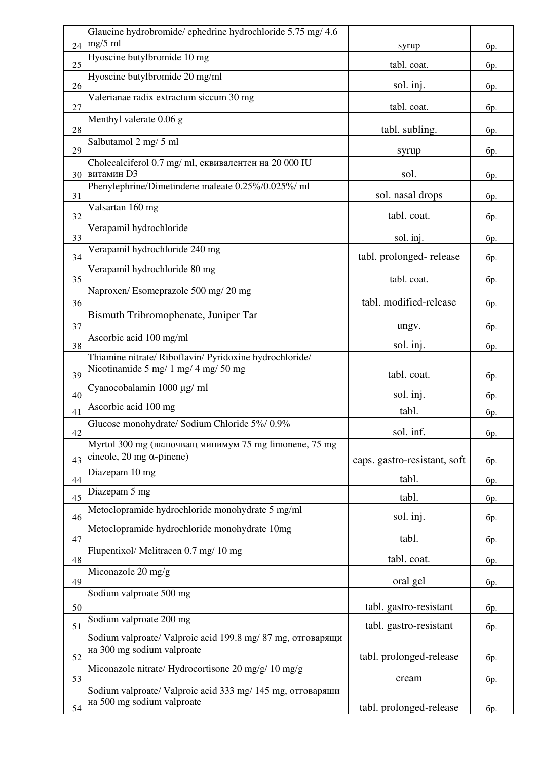|    | Glaucine hydrobromide/ ephedrine hydrochloride 5.75 mg/ 4.6                               |                              |     |
|----|-------------------------------------------------------------------------------------------|------------------------------|-----|
| 24 | $mg/5$ ml                                                                                 | syrup                        | бр. |
| 25 | Hyoscine butylbromide 10 mg                                                               | tabl. coat.                  | бр. |
| 26 | Hyoscine butylbromide 20 mg/ml                                                            | sol. inj.                    | бр. |
| 27 | Valerianae radix extractum siccum 30 mg                                                   | tabl. coat.                  | бр. |
| 28 | Menthyl valerate 0.06 g                                                                   | tabl. subling.               | бр. |
| 29 | Salbutamol 2 mg/ 5 ml                                                                     | syrup                        | бр. |
| 30 | Cholecalciferol 0.7 mg/ ml, еквивалентен на 20 000 IU<br>витамин D3                       | sol.                         | бр. |
| 31 | Phenylephrine/Dimetindene maleate 0.25%/0.025%/ ml                                        | sol. nasal drops             | бр. |
| 32 | Valsartan 160 mg                                                                          | tabl. coat.                  | бр. |
| 33 | Verapamil hydrochloride                                                                   | sol. inj.                    | бр. |
| 34 | Verapamil hydrochloride 240 mg                                                            | tabl. prolonged-release      | бр. |
| 35 | Verapamil hydrochloride 80 mg                                                             | tabl. coat.                  | бр. |
| 36 | Naproxen/Esomeprazole 500 mg/ 20 mg                                                       | tabl. modified-release       | бр. |
| 37 | Bismuth Tribromophenate, Juniper Tar                                                      | ungv.                        | бр. |
| 38 | Ascorbic acid 100 mg/ml                                                                   | sol. inj.                    | бр. |
|    | Thiamine nitrate/ Riboflavin/ Pyridoxine hydrochloride/                                   |                              |     |
| 39 | Nicotinamide 5 mg/ 1 mg/ 4 mg/ 50 mg                                                      | tabl. coat.                  | бр. |
| 40 | Cyanocobalamin 1000 μg/ ml                                                                | sol. inj.                    | бр. |
| 41 | Ascorbic acid 100 mg                                                                      | tabl.                        | бр. |
| 42 | Glucose monohydrate/ Sodium Chloride 5%/0.9%                                              | sol. inf.                    | бр. |
|    | Myrtol 300 mg (включващ минимум 75 mg limonene, 75 mg                                     |                              |     |
| 43 | cineole, 20 mg $\alpha$ -pinene)<br>Diazepam 10 mg                                        | caps. gastro-resistant, soft | бр. |
| 44 |                                                                                           | tabl.                        | бр. |
| 45 | Diazepam 5 mg                                                                             | tabl.                        | бр. |
| 46 | Metoclopramide hydrochloride monohydrate 5 mg/ml                                          | sol. inj.                    | бр. |
| 47 | Metoclopramide hydrochloride monohydrate 10mg                                             | tabl.                        | бр. |
| 48 | Flupentixol/Melitracen 0.7 mg/10 mg                                                       | tabl. coat.                  | бр. |
| 49 | Miconazole 20 mg/g                                                                        | oral gel                     | бр. |
| 50 | Sodium valproate 500 mg                                                                   | tabl. gastro-resistant       | бр. |
| 51 | Sodium valproate 200 mg                                                                   | tabl. gastro-resistant       | бр. |
| 52 | Sodium valproate/ Valproic acid 199.8 mg/ 87 mg, отговарящи<br>на 300 mg sodium valproate | tabl. prolonged-release      | бр. |
| 53 | Miconazole nitrate/ Hydrocortisone 20 mg/g/ 10 mg/g                                       | cream                        | бр. |
|    | Sodium valproate/ Valproic acid 333 mg/ 145 mg, отговарящи                                |                              |     |
| 54 | на 500 mg sodium valproate                                                                | tabl. prolonged-release      | бр. |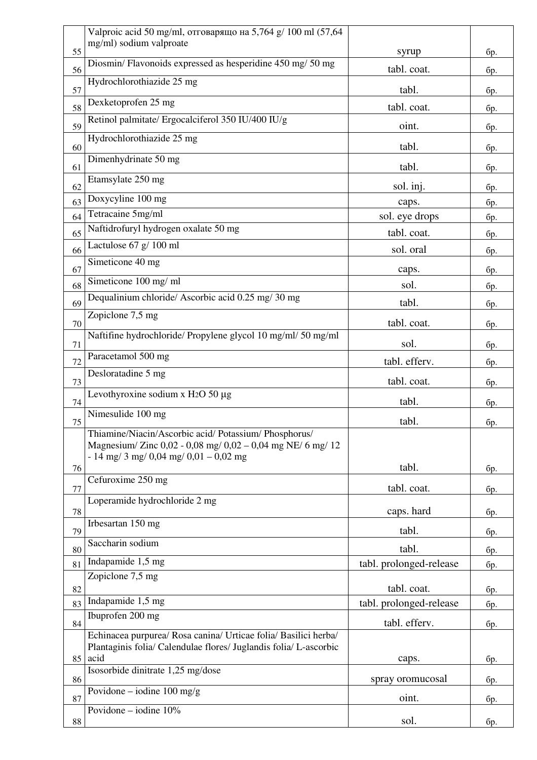|    | Valproic acid 50 mg/ml, отговарящо на 5,764 g/ 100 ml (57,64      |                         |            |
|----|-------------------------------------------------------------------|-------------------------|------------|
| 55 | mg/ml) sodium valproate                                           | syrup                   | <b>бр.</b> |
| 56 | Diosmin/Flavonoids expressed as hesperidine 450 mg/ 50 mg         | tabl. coat.             | бр.        |
| 57 | Hydrochlorothiazide 25 mg                                         | tabl.                   | бр.        |
| 58 | Dexketoprofen 25 mg                                               | tabl. coat.             | бр.        |
| 59 | Retinol palmitate/ Ergocalciferol 350 IU/400 IU/g                 | oint.                   | бр.        |
|    | Hydrochlorothiazide 25 mg                                         | tabl.                   |            |
| 60 | Dimenhydrinate 50 mg                                              |                         | бр.        |
| 61 | Etamsylate 250 mg                                                 | tabl.                   | бр.        |
| 62 | Doxycyline 100 mg                                                 | sol. inj.               | бр.        |
| 63 | Tetracaine 5mg/ml                                                 | caps.                   | бр.        |
| 64 | Naftidrofuryl hydrogen oxalate 50 mg                              | sol. eye drops          | бр.        |
| 65 | Lactulose $67 g/ 100 ml$                                          | tabl. coat.             | бр.        |
| 66 |                                                                   | sol. oral               | бр.        |
| 67 | Simeticone 40 mg                                                  | caps.                   | бр.        |
| 68 | Simeticone 100 mg/ml                                              | sol.                    | бр.        |
| 69 | Dequalinium chloride/ Ascorbic acid 0.25 mg/ 30 mg                | tabl.                   | бр.        |
| 70 | Zopiclone 7,5 mg                                                  | tabl. coat.             | бр.        |
| 71 | Naftifine hydrochloride/ Propylene glycol 10 mg/ml/ 50 mg/ml      | sol.                    | бр.        |
| 72 | Paracetamol 500 mg                                                | tabl. efferv.           | бр.        |
| 73 | Desloratadine 5 mg                                                | tabl. coat.             | бр.        |
| 74 | Levothyroxine sodium x H2O 50 µg                                  | tabl.                   |            |
|    | Nimesulide 100 mg                                                 | tabl.                   | бр.        |
| 75 | Thiamine/Niacin/Ascorbic acid/ Potassium/ Phosphorus/             |                         | бр.        |
|    | Magnesium/ Zinc 0,02 - 0,08 mg/ 0,02 - 0,04 mg NE/ 6 mg/ 12       |                         |            |
| 76 | $-14$ mg/ 3 mg/ 0,04 mg/ 0,01 - 0,02 mg                           | tabl.                   | бр.        |
| 77 | Cefuroxime 250 mg                                                 | tabl. coat.             | бр.        |
|    | Loperamide hydrochloride 2 mg                                     |                         |            |
| 78 | Irbesartan 150 mg                                                 | caps. hard              | бр.        |
| 79 |                                                                   | tabl.                   | бр.        |
| 80 | Saccharin sodium                                                  | tabl.                   | бр.        |
| 81 | Indapamide 1,5 mg                                                 | tabl. prolonged-release | бр.        |
| 82 | Zopiclone 7,5 mg                                                  | tabl. coat.             |            |
| 83 | Indapamide 1,5 mg                                                 | tabl. prolonged-release | бр.<br>бр. |
|    | Ibuprofen 200 mg                                                  | tabl. efferv.           |            |
| 84 | Echinacea purpurea/ Rosa canina/ Urticae folia/ Basilici herba/   |                         | бр.        |
|    | Plantaginis folia/ Calendulae flores/ Juglandis folia/ L-ascorbic |                         |            |
| 85 | acid<br>Isosorbide dinitrate 1,25 mg/dose                         | caps.                   | бр.        |
| 86 |                                                                   | spray oromucosal        | бр.        |
| 87 | Povidone – iodine $100 \text{ mg/g}$                              | oint.                   | бр.        |
| 88 | Povidone – iodine $10\%$                                          | sol.                    | бр.        |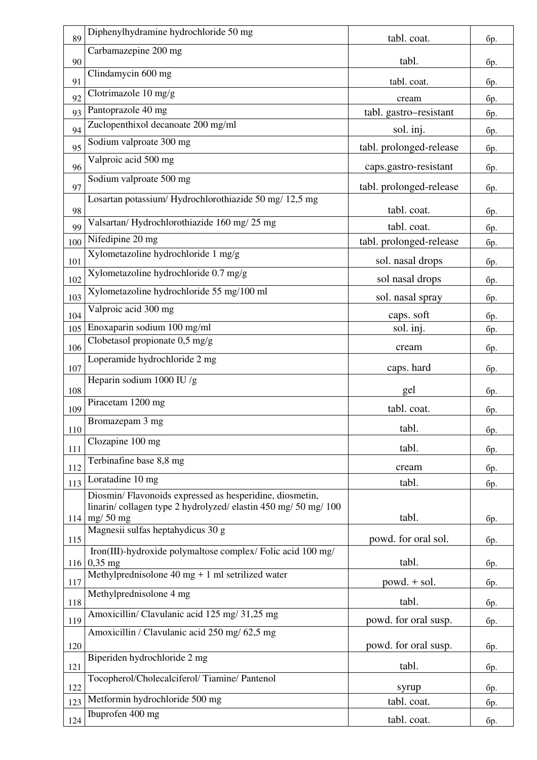| 89  | Diphenylhydramine hydrochloride 50 mg                                                                                                            | tabl. coat.             | бр. |
|-----|--------------------------------------------------------------------------------------------------------------------------------------------------|-------------------------|-----|
| 90  | Carbamazepine 200 mg                                                                                                                             | tabl.                   | бр. |
| 91  | Clindamycin 600 mg                                                                                                                               | tabl. coat.             | бр. |
| 92  | Clotrimazole $10 \text{ mg/g}$                                                                                                                   | cream                   | бр. |
| 93  | Pantoprazole 40 mg                                                                                                                               | tabl. gastro-resistant  | бр. |
| 94  | Zuclopenthixol decanoate 200 mg/ml                                                                                                               | sol. inj.               | бр. |
| 95  | Sodium valproate 300 mg                                                                                                                          | tabl. prolonged-release | бр. |
| 96  | Valproic acid 500 mg                                                                                                                             | caps.gastro-resistant   | бр. |
| 97  | Sodium valproate 500 mg                                                                                                                          | tabl. prolonged-release | бр. |
| 98  | Losartan potassium/Hydrochlorothiazide 50 mg/ 12,5 mg                                                                                            | tabl. coat.             | бр. |
| 99  | Valsartan/Hydrochlorothiazide 160 mg/25 mg                                                                                                       | tabl. coat.             | бр. |
| 100 | Nifedipine 20 mg                                                                                                                                 | tabl. prolonged-release | бр. |
| 101 | Xylometazoline hydrochloride 1 mg/g                                                                                                              | sol. nasal drops        | бр. |
| 102 | Xylometazoline hydrochloride 0.7 mg/g                                                                                                            | sol nasal drops         | бр. |
| 103 | Xylometazoline hydrochloride 55 mg/100 ml                                                                                                        | sol. nasal spray        | бр. |
| 104 | Valproic acid 300 mg                                                                                                                             | caps. soft              | бр. |
| 105 | Enoxaparin sodium 100 mg/ml                                                                                                                      | sol. inj.               | бр. |
| 106 | Clobetasol propionate 0,5 mg/g                                                                                                                   | cream                   | бр. |
| 107 | Loperamide hydrochloride 2 mg                                                                                                                    | caps. hard              | бр. |
| 108 | Heparin sodium 1000 IU /g                                                                                                                        | gel                     | бр. |
| 109 | Piracetam 1200 mg                                                                                                                                | tabl. coat.             | бр. |
| 110 | Bromazepam 3 mg                                                                                                                                  | tabl.                   | бp. |
| 111 | Clozapine 100 mg                                                                                                                                 | tabl.                   | бр. |
| 112 | Terbinafine base 8,8 mg                                                                                                                          | cream                   | бр. |
| 113 | Loratadine 10 mg                                                                                                                                 | tabl.                   | бр. |
|     | Diosmin/Flavonoids expressed as hesperidine, diosmetin,<br>linarin/collagen type 2 hydrolyzed/elastin 450 mg/ 50 mg/ 100<br>$114 \mid mg/ 50 mg$ | tabl.                   | бр. |
| 115 | Magnesii sulfas heptahydicus 30 g                                                                                                                | powd. for oral sol.     | бр. |
|     | Iron(III)-hydroxide polymaltose complex/ Folic acid 100 mg/<br>$116 0,35$ mg                                                                     | tabl.                   | бр. |
| 117 | Methylprednisolone $40$ mg + 1 ml setrilized water                                                                                               | $powd. + sol.$          | бр. |
| 118 | Methylprednisolone 4 mg                                                                                                                          | tabl.                   | бр. |
| 119 | Amoxicillin/ Clavulanic acid 125 mg/ 31,25 mg                                                                                                    | powd. for oral susp.    | бр. |
|     | Amoxicillin / Clavulanic acid 250 mg/ 62,5 mg                                                                                                    |                         |     |
| 120 | Biperiden hydrochloride 2 mg                                                                                                                     | powd. for oral susp.    | бр. |
| 121 | Tocopherol/Cholecalciferol/Tiamine/Pantenol                                                                                                      | tabl.                   | бр. |
| 122 | Metformin hydrochloride 500 mg                                                                                                                   | syrup                   | бр. |
| 123 | Ibuprofen 400 mg                                                                                                                                 | tabl. coat.             | бр. |
| 124 |                                                                                                                                                  | tabl. coat.             | бр. |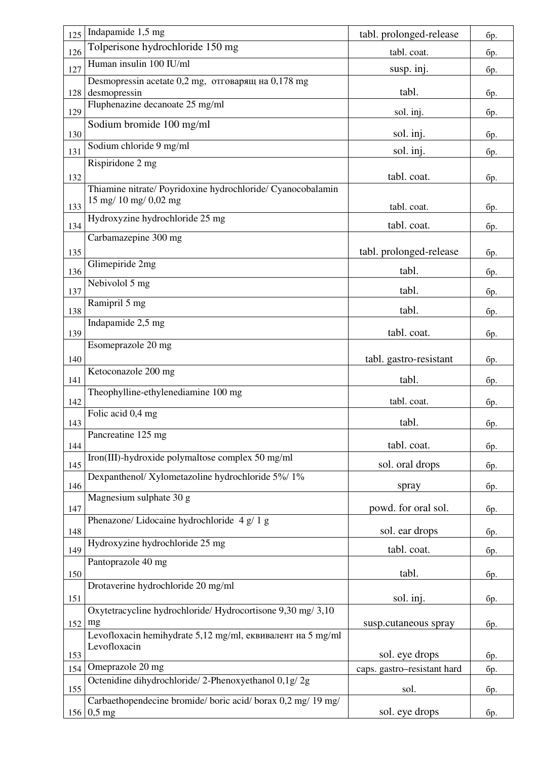| 125 | Indapamide 1,5 mg                                                            | tabl. prolonged-release     | бр. |
|-----|------------------------------------------------------------------------------|-----------------------------|-----|
| 126 | Tolperisone hydrochloride 150 mg                                             | tabl. coat.                 | бр. |
| 127 | Human insulin 100 IU/ml                                                      | susp. inj.                  | бр. |
|     | Desmopressin acetate 0,2 mg, отговарящ на 0,178 mg                           |                             |     |
| 128 | desmopressin<br>Fluphenazine decanoate 25 mg/ml                              | tabl.                       | бр. |
| 129 |                                                                              | sol. inj.                   | бр. |
| 130 | Sodium bromide 100 mg/ml                                                     | sol. inj.                   | бр. |
| 131 | Sodium chloride 9 mg/ml                                                      | sol. inj.                   | бр. |
|     | Rispiridone 2 mg                                                             |                             |     |
| 132 | Thiamine nitrate/ Poyridoxine hydrochloride/ Cyanocobalamin                  | tabl. coat.                 | бр. |
|     | $15 \text{ mg} / 10 \text{ mg} / 0.02 \text{ mg}$                            |                             |     |
| 133 | Hydroxyzine hydrochloride 25 mg                                              | tabl. coat.                 | бр. |
| 134 | Carbamazepine 300 mg                                                         | tabl. coat.                 | бр. |
| 135 |                                                                              | tabl. prolonged-release     | бр. |
| 136 | Glimepiride 2mg                                                              | tabl.                       | бр. |
| 137 | Nebivolol 5 mg                                                               | tabl.                       | бр. |
| 138 | Ramipril 5 mg                                                                | tabl.                       | бр. |
|     | Indapamide 2,5 mg                                                            |                             |     |
| 139 | Esomeprazole 20 mg                                                           | tabl. coat.                 | бр. |
| 140 |                                                                              | tabl. gastro-resistant      | бр. |
|     | Ketoconazole 200 mg                                                          |                             |     |
| 141 | Theophylline-ethylenediamine 100 mg                                          | tabl.                       | бр. |
| 142 |                                                                              | tabl. coat.                 | бр. |
| 143 | Folic acid 0,4 mg                                                            | tabl.                       | бр. |
| 144 | Pancreatine 125 mg                                                           | tabl. coat.                 | бр. |
|     | Iron(III)-hydroxide polymaltose complex 50 mg/ml                             |                             |     |
| 145 | Dexpanthenol/Xylometazoline hydrochloride 5%/1%                              | sol. oral drops             | бр. |
| 146 |                                                                              | spray                       | бр. |
| 147 | Magnesium sulphate 30 g                                                      | powd. for oral sol.         | бр. |
| 148 | Phenazone/ Lidocaine hydrochloride 4 g/ 1 g                                  | sol. ear drops              |     |
|     | Hydroxyzine hydrochloride 25 mg                                              |                             | бр. |
| 149 | Pantoprazole 40 mg                                                           | tabl. coat.                 | бр. |
| 150 |                                                                              | tabl.                       | бр. |
| 151 | Drotaverine hydrochloride 20 mg/ml                                           | sol. inj.                   | бр. |
|     | Oxytetracycline hydrochloride/ Hydrocortisone 9,30 mg/ 3,10                  |                             |     |
| 152 | mg                                                                           | susp.cutaneous spray        | бр. |
|     | Levofloxacin hemihydrate 5,12 mg/ml, еквивалент на 5 mg/ml<br>Levofloxacin   |                             |     |
| 153 |                                                                              | sol. eye drops              | бр. |
| 154 | Omeprazole 20 mg<br>Octenidine dihydrochloride/2-Phenoxyethanol 0,1g/2g      | caps. gastro-resistant hard | бр. |
| 155 |                                                                              | sol.                        | бр. |
|     | Carbaethopendecine bromide/ boric acid/ borax 0,2 mg/ 19 mg/<br>$156 0,5$ mg | sol. eye drops              | бр. |
|     |                                                                              |                             |     |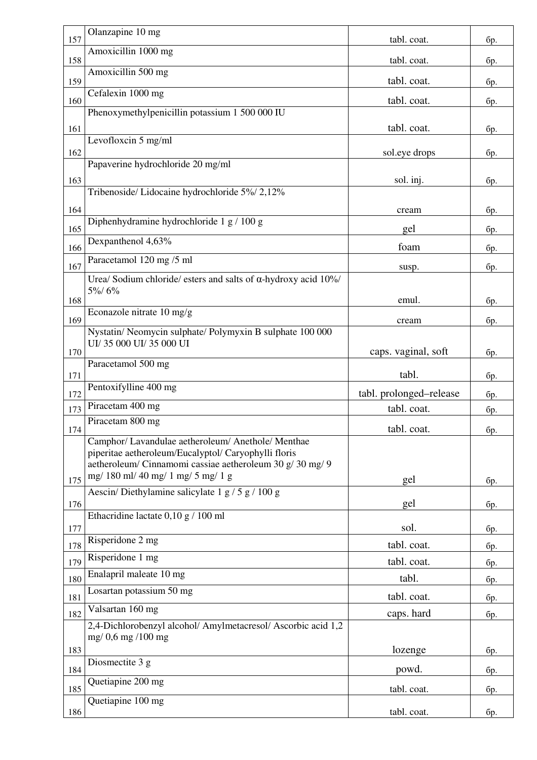| 157        | Olanzapine 10 mg                                                                                                                                                        | tabl. coat.                | бр.        |
|------------|-------------------------------------------------------------------------------------------------------------------------------------------------------------------------|----------------------------|------------|
| 158        | Amoxicillin 1000 mg                                                                                                                                                     | tabl. coat.                | бр.        |
| 159        | Amoxicillin 500 mg                                                                                                                                                      | tabl. coat.                | бр.        |
| 160        | Cefalexin 1000 mg                                                                                                                                                       | tabl. coat.                | бр.        |
|            | Phenoxymethylpenicillin potassium 1 500 000 IU                                                                                                                          |                            |            |
| 161        | Levofloxcin 5 mg/ml                                                                                                                                                     | tabl. coat.                | бр.        |
| 162        |                                                                                                                                                                         | sol.eye drops              | бр.        |
|            | Papaverine hydrochloride 20 mg/ml                                                                                                                                       |                            |            |
| 163        | Tribenoside/ Lidocaine hydrochloride 5%/ 2,12%                                                                                                                          | sol. inj.                  | бр.        |
| 164        |                                                                                                                                                                         | cream                      | бр.        |
| 165        | Diphenhydramine hydrochloride 1 g / 100 g                                                                                                                               | gel                        | бр.        |
| 166        | Dexpanthenol 4,63%                                                                                                                                                      | foam                       | бр.        |
| 167        | Paracetamol 120 mg /5 ml                                                                                                                                                | susp.                      | бр.        |
|            | Urea/ Sodium chloride/ esters and salts of $\alpha$ -hydroxy acid 10%/                                                                                                  |                            |            |
| 168        | 5%/6%                                                                                                                                                                   | emul.                      | 6p.        |
| 169        | Econazole nitrate 10 mg/g                                                                                                                                               | cream                      | бр.        |
|            | Nystatin/ Neomycin sulphate/ Polymyxin B sulphate 100 000                                                                                                               |                            |            |
| 170        | UI/35 000 UI/35 000 UI                                                                                                                                                  | caps. vaginal, soft        | бр.        |
| 171        | Paracetamol 500 mg                                                                                                                                                      | tabl.                      | бр.        |
| 172        | Pentoxifylline 400 mg                                                                                                                                                   | tabl. prolonged-release    | бр.        |
| 173        | Piracetam 400 mg                                                                                                                                                        | tabl. coat.                | <b>бр.</b> |
| 174        | Piracetam 800 mg                                                                                                                                                        | tabl. coat.                | бp.        |
|            | Camphor/ Lavandulae aetheroleum/ Anethole/ Menthae<br>piperitae aetheroleum/Eucalyptol/ Caryophylli floris<br>aetheroleum/ Cinnamomi cassiae aetheroleum 30 g/ 30 mg/ 9 |                            |            |
| 175        | mg/180 ml/40 mg/1 mg/5 mg/1 g                                                                                                                                           | gel                        | бр.        |
| 176        | Aescin/Diethylamine salicylate 1 $g/5 g/100 g$                                                                                                                          | gel                        | бр.        |
|            | Ethacridine lactate 0,10 g / 100 ml                                                                                                                                     |                            |            |
| 177        | Risperidone 2 mg                                                                                                                                                        | sol.                       | бр.        |
| 178<br>179 | Risperidone 1 mg                                                                                                                                                        | tabl. coat.<br>tabl. coat. | бр.        |
| 180        | Enalapril maleate 10 mg                                                                                                                                                 | tabl.                      | бр.<br>бр. |
| 181        | Losartan potassium 50 mg                                                                                                                                                | tabl. coat.                | бр.        |
| 182        | Valsartan 160 mg                                                                                                                                                        | caps. hard                 | бр.        |
|            | 2,4-Dichlorobenzyl alcohol/ Amylmetacresol/ Ascorbic acid 1,2<br>mg/ 0,6 mg/100 mg                                                                                      |                            |            |
| 183        | Diosmectite 3 g                                                                                                                                                         | lozenge                    | бр.        |
| 184        | Quetiapine 200 mg                                                                                                                                                       | powd.                      | бр.        |
| 185        |                                                                                                                                                                         | tabl. coat.                | бр.        |
| 186        | Quetiapine 100 mg                                                                                                                                                       | tabl. coat.                | бр.        |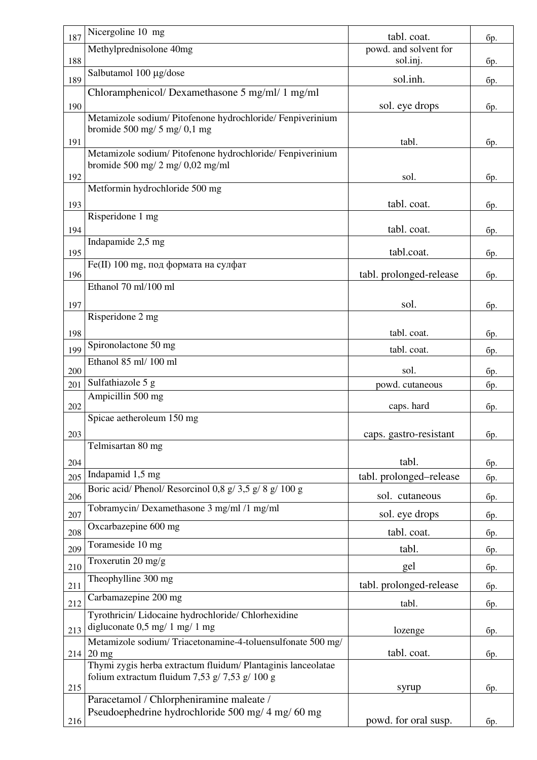| 187 | Nicergoline 10 mg                                                                              | tabl. coat.             | бр.        |
|-----|------------------------------------------------------------------------------------------------|-------------------------|------------|
|     | Methylprednisolone 40mg                                                                        | powd. and solvent for   |            |
| 188 |                                                                                                | sol.inj.                | бр.        |
| 189 | Salbutamol 100 µg/dose                                                                         | sol.inh.                | бр.        |
|     | Chloramphenicol/Dexamethasone 5 mg/ml/ 1 mg/ml                                                 |                         |            |
| 190 |                                                                                                | sol. eye drops          | бр.        |
|     | Metamizole sodium/ Pitofenone hydrochloride/ Fenpiverinium<br>bromide 500 mg/ $5$ mg/ $0,1$ mg |                         |            |
| 191 |                                                                                                | tabl.                   | бр.        |
|     | Metamizole sodium/ Pitofenone hydrochloride/ Fenpiverinium                                     |                         |            |
| 192 | bromide 500 mg/ $2$ mg/ $0,02$ mg/ml                                                           | sol.                    | бр.        |
|     | Metformin hydrochloride 500 mg                                                                 |                         |            |
| 193 |                                                                                                | tabl. coat.             | бр.        |
|     | Risperidone 1 mg                                                                               |                         |            |
| 194 |                                                                                                | tabl. coat.             | <b>бр.</b> |
| 195 | Indapamide 2,5 mg                                                                              | tabl.coat.              | бр.        |
|     | Fe(II) 100 mg, под формата на сулфат                                                           |                         |            |
| 196 | Ethanol 70 ml/100 ml                                                                           | tabl. prolonged-release | бр.        |
|     |                                                                                                |                         |            |
| 197 | Risperidone 2 mg                                                                               | sol.                    | бр.        |
|     |                                                                                                |                         |            |
| 198 | Spironolactone 50 mg                                                                           | tabl. coat.             | бр.        |
| 199 | Ethanol 85 ml/ 100 ml                                                                          | tabl. coat.             | бр.        |
| 200 |                                                                                                | sol.                    | бр.        |
| 201 | Sulfathiazole 5 g                                                                              | powd. cutaneous         | бр.        |
| 202 | Ampicillin 500 mg                                                                              | caps. hard              | <b>бр.</b> |
|     | Spicae aetheroleum 150 mg                                                                      |                         |            |
| 203 |                                                                                                | caps. gastro-resistant  | бр.        |
|     | Telmisartan 80 mg                                                                              |                         |            |
| 204 |                                                                                                | tabl.                   | бр.        |
| 205 | Indapamid 1,5 mg                                                                               | tabl. prolonged-release | бр.        |
| 206 | Boric acid/ Phenol/ Resorcinol 0,8 g/ 3,5 g/ 8 g/ 100 g                                        | sol. cutaneous          | бр.        |
| 207 | Tobramycin/ Dexamethasone 3 mg/ml /1 mg/ml                                                     | sol. eye drops          | бр.        |
|     | Oxcarbazepine 600 mg                                                                           | tabl. coat.             |            |
| 208 | Torameside 10 mg                                                                               |                         | бр.        |
| 209 | Troxerutin $20 \text{ mg/g}$                                                                   | tabl.                   | бр.        |
| 210 | Theophylline 300 mg                                                                            | gel                     | бр.        |
| 211 |                                                                                                | tabl. prolonged-release | бр.        |
| 212 | Carbamazepine 200 mg                                                                           | tabl.                   | бр.        |
|     | Tyrothricin/ Lidocaine hydrochloride/ Chlorhexidine                                            |                         |            |
| 213 | digluconate $0.5$ mg/ 1 mg/ 1 mg                                                               | lozenge                 | <b>бр.</b> |
| 214 | Metamizole sodium/Triacetonamine-4-toluensulfonate 500 mg/<br>$20 \text{ mg}$                  | tabl. coat.             | бр.        |
|     | Thymi zygis herba extractum fluidum/ Plantaginis lanceolatae                                   |                         |            |
|     |                                                                                                |                         |            |
|     | folium extractum fluidum 7,53 g/ 7,53 g/ 100 g                                                 |                         |            |
| 215 |                                                                                                | syrup                   | бр.        |
|     | Paracetamol / Chlorpheniramine maleate /<br>Pseudoephedrine hydrochloride 500 mg/ 4 mg/ 60 mg  | powd. for oral susp.    |            |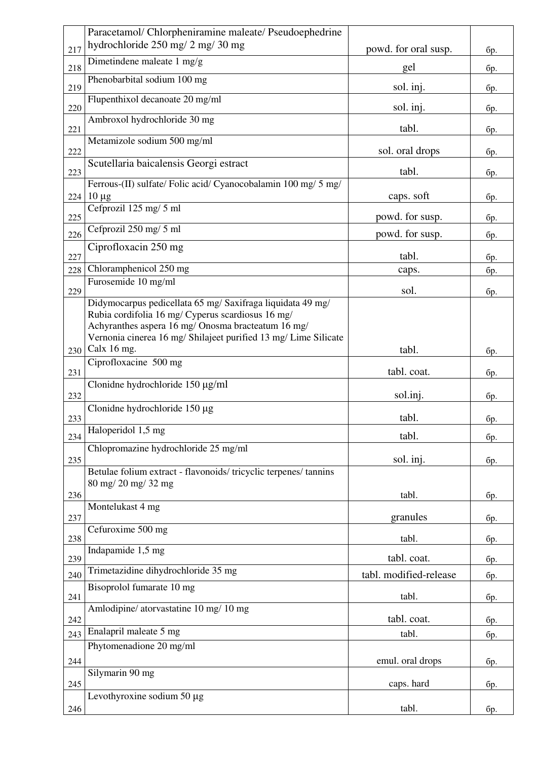|     | Paracetamol/ Chlorpheniramine maleate/ Pseudoephedrine                                                          |                        |            |
|-----|-----------------------------------------------------------------------------------------------------------------|------------------------|------------|
| 217 | hydrochloride 250 mg/ 2 mg/ 30 mg                                                                               | powd. for oral susp.   | бр.        |
| 218 | Dimetindene maleate 1 mg/g                                                                                      | gel                    | бр.        |
| 219 | Phenobarbital sodium 100 mg                                                                                     | sol. inj.              | бр.        |
| 220 | Flupenthixol decanoate 20 mg/ml                                                                                 | sol. inj.              | бр.        |
| 221 | Ambroxol hydrochloride 30 mg                                                                                    | tabl.                  | бр.        |
| 222 | Metamizole sodium 500 mg/ml                                                                                     | sol. oral drops        | бр.        |
| 223 | Scutellaria baicalensis Georgi estract                                                                          | tabl.                  | бр.        |
|     | Ferrous-(II) sulfate/ Folic acid/ Cyanocobalamin 100 mg/ 5 mg/<br>$224 10 \mu g$                                | caps. soft             | бр.        |
| 225 | Cefprozil 125 mg/ 5 ml                                                                                          | powd. for susp.        | бр.        |
| 226 | Cefprozil 250 mg/ 5 ml                                                                                          | powd. for susp.        | бр.        |
| 227 | Ciprofloxacin 250 mg                                                                                            | tabl.                  |            |
| 228 | Chloramphenicol 250 mg                                                                                          | caps.                  | бр.<br>бр. |
|     | Furosemide 10 mg/ml                                                                                             |                        |            |
| 229 |                                                                                                                 | sol.                   | бр.        |
|     | Didymocarpus pedicellata 65 mg/ Saxifraga liquidata 49 mg/<br>Rubia cordifolia 16 mg/ Cyperus scardiosus 16 mg/ |                        |            |
|     | Achyranthes aspera 16 mg/ Onosma bracteatum 16 mg/                                                              |                        |            |
|     | Vernonia cinerea 16 mg/ Shilajeet purified 13 mg/ Lime Silicate                                                 |                        |            |
| 230 | Calx $16$ mg.                                                                                                   | tabl.                  | бр.        |
| 231 | Ciprofloxacine 500 mg                                                                                           | tabl. coat.            | бр.        |
| 232 | Clonidne hydrochloride 150 µg/ml                                                                                | sol.inj.               | бр.        |
| 233 | Clonidne hydrochloride $150 \mu$ g                                                                              | tabl.                  | бр.        |
| 234 | Haloperidol 1,5 mg                                                                                              | tabl.                  | бр.        |
|     | Chlopromazine hydrochloride 25 mg/ml                                                                            |                        |            |
| 235 |                                                                                                                 | sol. inj.              | бр.        |
|     | Betulae folium extract - flavonoids/tricyclic terpenes/tannins                                                  |                        |            |
| 236 | 80 mg/ 20 mg/ 32 mg                                                                                             | tabl.                  | бр.        |
|     | Montelukast 4 mg                                                                                                |                        |            |
| 237 |                                                                                                                 | granules               | бр.        |
| 238 | Cefuroxime 500 mg                                                                                               | tabl.                  | бр.        |
| 239 | Indapamide 1,5 mg                                                                                               | tabl. coat.            | бр.        |
| 240 | Trimetazidine dihydrochloride 35 mg                                                                             | tabl. modified-release | бр.        |
| 241 | Bisoprolol fumarate 10 mg                                                                                       | tabl.                  | бр.        |
|     | Amlodipine/ atorvastatine 10 mg/ 10 mg                                                                          | tabl. coat.            |            |
| 242 | Enalapril maleate 5 mg                                                                                          |                        | бр.        |
| 243 | Phytomenadione 20 mg/ml                                                                                         | tabl.                  | бр.        |
| 244 |                                                                                                                 | emul. oral drops       | бр.        |
| 245 | Silymarin 90 mg                                                                                                 | caps. hard             | бр.        |
|     | Levothyroxine sodium 50 $\mu$ g                                                                                 |                        |            |
| 246 |                                                                                                                 | tabl.                  | бр.        |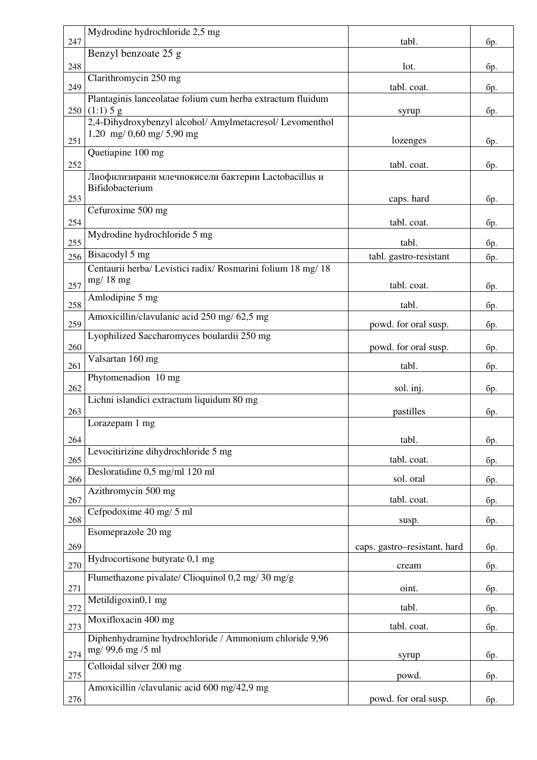| 247 | Mydrodine hydrochloride 2,5 mg                                                              | tabl.                        | бр.        |
|-----|---------------------------------------------------------------------------------------------|------------------------------|------------|
|     | Benzyl benzoate 25 g                                                                        |                              |            |
| 248 |                                                                                             | lot.                         | бр.        |
| 249 | Clarithromycin 250 mg                                                                       | tabl. coat.                  | бр.        |
| 250 | Plantaginis lanceolatae folium cum herba extractum fluidum<br>(1:1) 5 g                     | syrup                        | бр.        |
|     | 2,4-Dihydroxybenzyl alcohol/ Amylmetacresol/ Levomenthol                                    |                              |            |
| 251 | 1,20 mg/ 0,60 mg/ 5,90 mg                                                                   | lozenges                     | бр.        |
| 252 | Quetiapine 100 mg                                                                           | tabl. coat.                  | <b>бр.</b> |
|     | Лиофилизирани млечнокисели бактерии Lactobacillus и                                         |                              |            |
| 253 | Bifidobacterium                                                                             | caps. hard                   | бр.        |
|     | Cefuroxime 500 mg                                                                           |                              |            |
| 254 | Mydrodine hydrochloride 5 mg                                                                | tabl. coat.                  | бр.        |
| 255 |                                                                                             | tabl.                        | бр.        |
| 256 | Bisacodyl $5 \overline{mg}$<br>Centaurii herba/ Levistici radix/ Rosmarini folium 18 mg/ 18 | tabl. gastro-resistant       | бр.        |
| 257 | $mg/18$ mg                                                                                  | tabl. coat.                  | бр.        |
| 258 | Amlodipine 5 mg                                                                             | tabl.                        | бр.        |
| 259 | Amoxicillin/clavulanic acid 250 mg/ 62,5 mg                                                 |                              |            |
|     | Lyophilized Saccharomyces boulardii 250 mg                                                  | powd. for oral susp.         | <b>бр.</b> |
| 260 | Valsartan 160 mg                                                                            | powd. for oral susp.         | бр.        |
| 261 |                                                                                             | tabl.                        | бр.        |
| 262 | Phytomenadion 10 mg                                                                         | sol. inj.                    | бр.        |
| 263 | Lichni islandici extractum liquidum 80 mg                                                   | pastilles                    |            |
|     | Lorazepam 1 mg                                                                              |                              | бр.        |
| 264 |                                                                                             | tabl.                        | бр.        |
| 265 | Levocitirizine dihydrochloride 5 mg                                                         | tabl. coat.                  | бр.        |
| 266 | Desloratidine 0,5 mg/ml 120 ml                                                              | sol. oral                    | бр.        |
| 267 | Azithromycin 500 mg                                                                         | tabl. coat.                  | бр.        |
|     | Cefpodoxime 40 mg/ 5 ml                                                                     |                              |            |
| 268 | Esomeprazole 20 mg                                                                          | susp.                        | бр.        |
| 269 |                                                                                             | caps. gastro-resistant, hard | бр.        |
| 270 | Hydrocortisone butyrate 0,1 mg                                                              | cream                        | бр.        |
| 271 | Flumethazone pivalate/ Clioquinol 0,2 mg/ 30 mg/g                                           | oint.                        | бр.        |
| 272 | Metildigoxin0,1 mg                                                                          | tabl.                        | бр.        |
| 273 | Moxifloxacin 400 mg                                                                         | tabl. coat.                  | бр.        |
|     | Diphenhydramine hydrochloride / Ammonium chloride 9,96                                      |                              |            |
| 274 | mg/ 99,6 mg /5 ml                                                                           | syrup                        | бр.        |
| 275 | Colloidal silver 200 mg                                                                     | powd.                        | бр.        |
| 276 | Amoxicillin /clavulanic acid 600 mg/42,9 mg                                                 | powd. for oral susp.         |            |
|     |                                                                                             |                              | бр.        |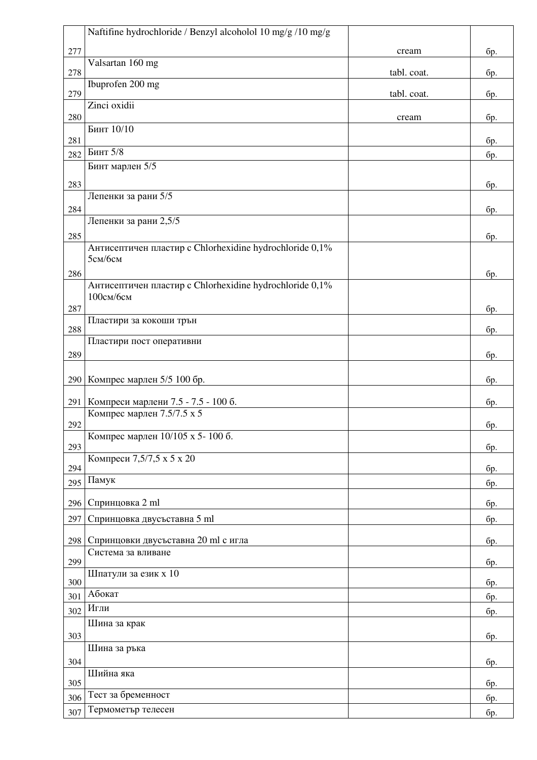|     | Naftifine hydrochloride / Benzyl alcoholol 10 mg/g /10 mg/g       |             |     |
|-----|-------------------------------------------------------------------|-------------|-----|
| 277 |                                                                   | cream       | бр. |
| 278 | Valsartan 160 mg                                                  | tabl. coat. | бр. |
| 279 | Ibuprofen 200 mg                                                  | tabl. coat. | бр. |
|     | Zinci oxidii                                                      |             |     |
| 280 |                                                                   | cream       | бр. |
| 281 | Бинт 10/10                                                        |             | бр. |
| 282 | Бинт 5/8                                                          |             | бр. |
|     | Бинт марлен 5/5                                                   |             |     |
| 283 |                                                                   |             | бр. |
|     | Лепенки за рани 5/5                                               |             |     |
| 284 |                                                                   |             | бр. |
|     | Лепенки за рани 2,5/5                                             |             |     |
| 285 | Антисептичен пластир с Chlorhexidine hydrochloride 0,1%           |             | бр. |
|     | 5см/бсм                                                           |             |     |
| 286 |                                                                   |             | бр. |
|     | Антисептичен пластир с Chlorhexidine hydrochloride 0,1%           |             |     |
|     | 100см/бсм                                                         |             |     |
| 287 | Пластири за кокоши трън                                           |             | бр. |
| 288 |                                                                   |             | бр. |
|     | Пластири пост оперативни                                          |             |     |
| 289 |                                                                   |             | бр. |
| 290 | Компрес марлен 5/5 100 бр.                                        |             | бр. |
|     |                                                                   |             |     |
| 291 | Компреси марлени 7.5 - 7.5 - 100 б.<br>Компрес марлен 7.5/7.5 х 5 |             | бр. |
| 292 |                                                                   |             | бр. |
|     | Компрес марлен 10/105 х 5-100 б.                                  |             |     |
| 293 | Компреси 7,5/7,5 х 5 х 20                                         |             | бр. |
| 294 |                                                                   |             | бр. |
| 295 | Памук                                                             |             | бр. |
| 296 | Спринцовка 2 ml                                                   |             | бр. |
| 297 | Спринцовка двусъставна 5 ml                                       |             | бр. |
|     |                                                                   |             |     |
| 298 | Спринцовки двусъставна 20 ml с игла<br>Система за вливане         |             | бр. |
| 299 |                                                                   |             | бр. |
| 300 | Шпатули за език х 10                                              |             | бр. |
| 301 | Абокат                                                            |             | бр. |
| 302 | Игли                                                              |             | бр. |
|     | Шина за крак                                                      |             |     |
| 303 |                                                                   |             | бр. |
|     | Шина за ръка                                                      |             |     |
| 304 | Шийна яка                                                         |             | бр. |
| 305 |                                                                   |             | бр. |
| 306 | Тест за бременност                                                |             | бр. |
| 307 | Термометър телесен                                                |             | бр. |